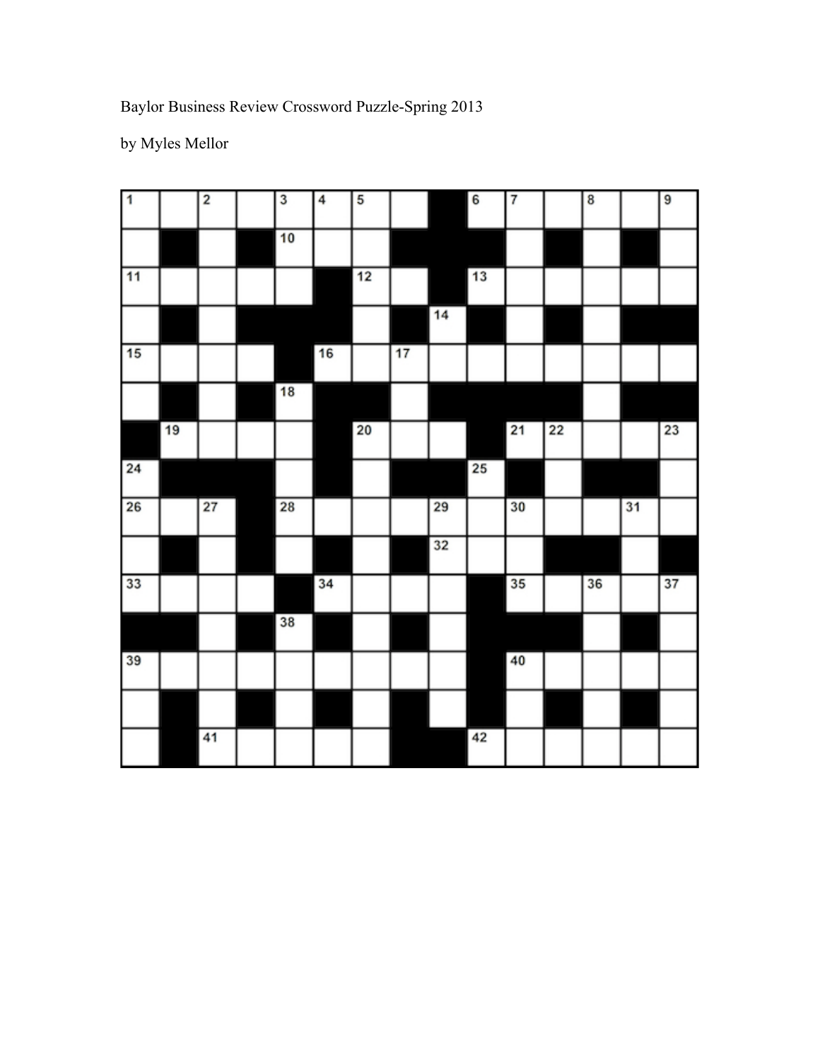| $\overline{1}$ |    | $\overline{\mathbf{2}}$ | 3  | $\overline{\bf 4}$ | 5  |    |    | 6  | $\overline{7}$ |    | 8  |    | 9  |
|----------------|----|-------------------------|----|--------------------|----|----|----|----|----------------|----|----|----|----|
|                |    |                         | 10 |                    |    |    |    |    |                |    |    |    |    |
| 11             |    |                         |    |                    | 12 |    |    | 13 |                |    |    |    |    |
|                |    |                         |    |                    |    |    | 14 |    |                |    |    |    |    |
| 15             |    |                         |    | 16                 |    | 17 |    |    |                |    |    |    |    |
|                |    |                         | 18 |                    |    |    |    |    |                |    |    |    |    |
|                | 19 |                         |    |                    | 20 |    |    |    | 21             | 22 |    |    | 23 |
| 24             |    |                         |    |                    |    |    |    | 25 |                |    |    |    |    |
| 26             |    | 27                      | 28 |                    |    |    | 29 |    | 30             |    |    | 31 |    |
|                |    |                         |    |                    |    |    | 32 |    |                |    |    |    |    |
| 33             |    |                         |    | 34                 |    |    |    |    | 35             |    | 36 |    | 37 |
|                |    |                         | 38 |                    |    |    |    |    |                |    |    |    |    |
| 39             |    |                         |    |                    |    |    |    |    | 40             |    |    |    |    |
|                |    |                         |    |                    |    |    |    |    |                |    |    |    |    |
|                |    | 41                      |    |                    |    |    |    | 42 |                |    |    |    |    |

Baylor Business Review Crossword Puzzle-Spring 2013

by Myles Mellor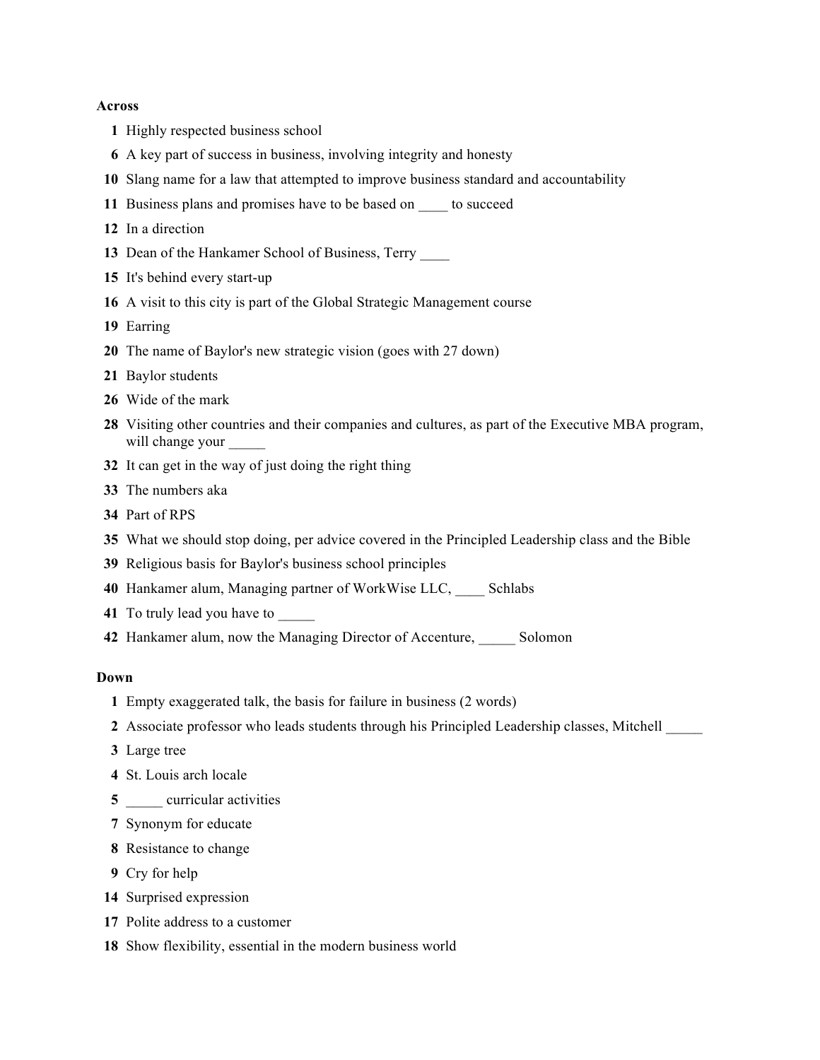## **Across**

- Highly respected business school
- A key part of success in business, involving integrity and honesty
- Slang name for a law that attempted to improve business standard and accountability
- Business plans and promises have to be based on \_\_\_\_ to succeed
- In a direction
- Dean of the Hankamer School of Business, Terry \_\_\_\_
- It's behind every start-up
- A visit to this city is part of the Global Strategic Management course
- Earring
- The name of Baylor's new strategic vision (goes with 27 down)
- Baylor students
- Wide of the mark
- Visiting other countries and their companies and cultures, as part of the Executive MBA program, will change your
- It can get in the way of just doing the right thing
- The numbers aka
- Part of RPS
- What we should stop doing, per advice covered in the Principled Leadership class and the Bible
- Religious basis for Baylor's business school principles
- Hankamer alum, Managing partner of WorkWise LLC, \_\_\_\_ Schlabs
- To truly lead you have to \_\_\_\_\_
- Hankamer alum, now the Managing Director of Accenture, \_\_\_\_\_ Solomon

## **Down**

- Empty exaggerated talk, the basis for failure in business (2 words)
- Associate professor who leads students through his Principled Leadership classes, Mitchell \_\_\_\_\_
- Large tree
- St. Louis arch locale
- curricular activities
- Synonym for educate
- Resistance to change
- Cry for help
- Surprised expression
- Polite address to a customer
- Show flexibility, essential in the modern business world